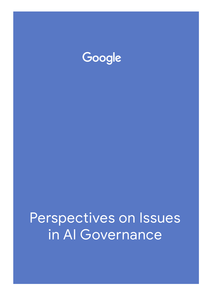

# Perspectives on Issues in Al Governance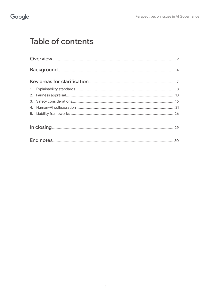## **Table of contents**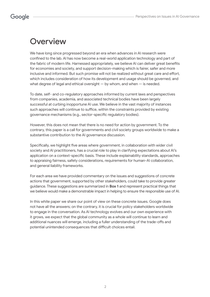## **Overview**

We have long since progressed beyond an era when advances in AI research were confined to the lab. AI has now become a real-world application technology and part of the fabric of modern life. Harnessed appropriately, we believe AI can deliver great benefits for economies and society, and support decision-making which is fairer, safer and more inclusive and informed. But such promise will not be realized without great care and effort, which includes consideration of how its development and usage should be governed, and what degree of legal and ethical oversight — by whom, and when — is needed.

To date, self- and co-regulatory approaches informed by current laws and perspectives from companies, academia, and associated technical bodies have been largely successful at curbing inopportune AI use. We believe in the vast majority of instances such approaches will continue to suffice, within the constraints provided by existing governance mechanisms (e.g., sector-specific regulatory bodies).

However, this does not mean that there is no need for action by government. To the contrary, this paper is a call for governments and civil society groups worldwide to make a substantive contribution to the AI governance discussion.

Specifically, we highlight five areas where government, in collaboration with wider civil society and AI practitioners, has a crucial role to play in clarifying expectations about AI's application on a context-specific basis. These include explainability standards, approaches to appraising fairness, safety considerations, requirements for human-AI collaboration, and general liability frameworks.

For each area we have provided commentary on the issues and suggestions of concrete actions that government, supported by other stakeholders, could take to provide greater guidance. These suggestions are summarized in **Box 1** and represent practical things that we believe would make a demonstrable impact in helping to ensure the responsible use of AI.

In this white paper we share our point of view on these concrete issues. Google does not have all the answers; on the contrary, it is crucial for policy stakeholders worldwide to engage in the conversation. As AI technology evolves and our own experience with it grows, we expect that the global community as a whole will continue to learn and additional nuances will emerge, including a fuller understanding of the trade-offs and potential unintended consequences that difficult choices entail.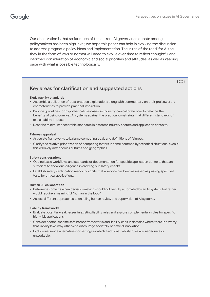Our observation is that so far much of the current AI governance debate among policymakers has been high level; we hope this paper can help in evolving the discussion to address pragmatic policy ideas and implementation. The 'rules of the road' for AI (be they in the form of laws or norms) will need to evolve over time to reflect thoughtful and informed consideration of economic and social priorities and attitudes, as well as keeping pace with what is possible technologically.

BOX 1

### Key areas for clarification and suggested actions

#### **Explainability standards**

- Assemble a collection of best practice explanations along with commentary on their praiseworthy characteristics to provide practical inspiration.
- Provide guidelines for hypothetical use cases so industry can calibrate how to balance the benefits of using complex AI systems against the practical constraints that different standards of explainability impose.
- Describe minimum acceptable standards in different industry sectors and application contexts.

#### **Fairness appraisal**

- Articulate frameworks to balance competing goals and definitions of fairness.
- Clarify the relative prioritization of competing factors in some common hypothetical situations, even if this will likely differ across cultures and geographies.

#### **Safety considerations**

- Outline basic workflows and standards of documentation for specific application contexts that are sufficient to show due diligence in carrying out safety checks.
- Establish safety certification marks to signify that a service has been assessed as passing specified tests for critical applications.

#### **Human-AI collaboration**

- Determine contexts when decision-making should not be fully automated by an AI system, but rather would require a meaningful "human in the loop".
- Assess different approaches to enabling human review and supervision of AI systems.

#### **Liability frameworks**

- Evaluate potential weaknesses in existing liability rules and explore complementary rules for specific high-risk applications.
- Consider sector-specific safe harbor frameworks and liability caps in domains where there is a worry that liability laws may otherwise discourage societally beneficial innovation.
- Explore insurance alternatives for settings in which traditional liability rules are inadequate or unworkable.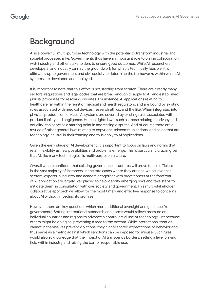## **Background**

AI is a powerful, multi-purpose technology with the potential to transform industrial and societal processes alike. Governments thus have an important role to play in collaboration with industry and other stakeholders to ensure good outcomes. While AI researchers, developers, and industry can lay the groundwork for what is technically feasible, it is ultimately up to government and civil society to determine the frameworks within which AI systems are developed and deployed.

It is important to note that this effort is not starting from scratch. There are already many sectoral regulations and legal codes that are broad enough to apply to AI, and established judicial processes for resolving disputes. For instance, AI applications relating to healthcare fall within the remit of medical and health regulators, and are bound by existing rules associated with medical devices, research ethics, and the like. When integrated into physical products or services, AI systems are covered by existing rules associated with product liability and negligence. Human rights laws, such as those relating to privacy and equality, can serve as a starting point in addressing disputes. And of course there are a myriad of other general laws relating to copyright, telecommunications, and so on that are technology-neutral in their framing and thus apply to AI applications.

Given the early stage of AI development, it is important to focus on laws and norms that retain flexibility as new possibilities and problems emerge. This is particularly crucial given that AI, like many technologies, is multi-purpose in nature.

Overall we are confident that existing governance structures will prove to be sufficient in the vast majority of instances. In the rare cases where they are not, we believe that sectoral experts in industry and academia together with practitioners at the forefront of AI application are largely well placed to help identify emerging risks and take steps to mitigate them, in consultation with civil society and government. This multi-stakeholder collaborative approach will allow for the most timely and effective response to concerns about AI without impeding its promise.

However, there are key questions which merit additional oversight and guidance from governments. Setting international standards and norms would relieve pressure on individual countries and regions to advance a controversial use of technology just because others might be doing so, preventing a race to the bottom. While international treaties cannot in themselves prevent violations, they clarify shared expectations of behavior and thus serve as a metric against which sanctions can be imposed for misuse. Such rules would also acknowledge that the impact of AI transcends borders, setting a level playing field within industry and raising the bar for responsible use.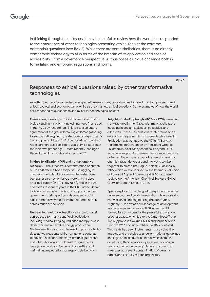In thinking through these issues, it may be helpful to review how the world has responded to the emergence of other technologies presenting ethical (and at the extreme, existential) questions (see **Box 2**). While there are some similarities, there is no directly comparable technology to AI in terms of the breadth of its application and ease of accessibility. From a governance perspective, AI thus poses a unique challenge both in formulating and enforcing regulations and norms.

BOX 2

### Responses to ethical questions raised by other transformative technologies

As with other transformative technologies, AI presents many opportunities to solve important problems and unlock societal and economic value, while also raising new ethical questions. Some examples of how the world has responded to questions raised by earlier technologies include:

**Genetic engineering –** Concerns around synthetic biology and human germ-line editing were first raised in the 1970s by researchers. This led to a voluntary agreement at the groundbreaking Asilomar gathering to impose self-regulatory restrictions on experiments involving recombinant DNA. The global community of AI researchers was inspired to use a similar approach for their own gatherings — most recently leading to the Asilomar AI principles adopted in 2017.

**In vitro fertilization (IVF) and human embryo research –** The successful demonstration of human IVF in 1978 offered hope for people struggling to conceive. It also led to governmental restrictions barring research on embryos more than 14 days after fertilization (the "14-day rule"), first in the US and over subsequent years in the UK, Europe, Japan, India and elsewhere. This is an example of national governments taking action independently but in a collaborative way that provided common norms across much of the world.

**Nuclear technology –** Reactions of atomic nuclei can be used for many beneficial applications, including medical imaging, radiation therapy, smoke detectors, and renewable energy production. Nuclear reactions can also be used to produce highly destructive weapons. While new nations continue to develop nuclear technology, national guidelines and international non-proliferation agreements have proven a strong framework for setting and maintaining expectations of responsible behavior.

**Polychlorinated biphenyls (PCBs) –** PCBs were first manufactured in the 1920s, with many applications including in coolants, plastics, pesticides, and adhesives. These molecules were later found to be environmental pollutants with considerable toxicity. Production was banned by the US in 1978 and by the Stockholm Convention on Persistent Organic Pollutants in 2001. Many chemicals beyond PCBs, including drugs and explosives, have similar dual-use potential. To promote responsible use of chemistry, chemical practitioners around the world worked together to create The Hague Ethical Guidelines in 2015, which were endorsed by the International Union of Pure and Applied Chemistry (IUPAC) and used to develop the American Chemical Society's Global Chemist Code of Ethics in 2016.

**Space exploration –** The goal of exploring the larger universe captured public imagination while catalyzing many science and engineering breakthroughs. Arguably, AI is now at a similar stage of development as space exploration was in 1958 when the UN formed its committee for the peaceful exploration of outer space, which led to the Outer Space Treaty (initially proposed by the US, UK and former Soviet Union in 1967, and since ratified by 107 countries). This treaty has been instrumental in providing the impetus and principles to underpin national guidelines and legislation in countries that have invested in developing their own space programs, covering a range of matters including "planetary protection" measures to prevent contamination of celestial bodies and Earth by foreign organisms.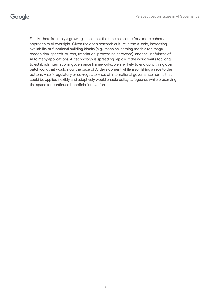Finally, there is simply a growing sense that the time has come for a more cohesive approach to AI oversight. Given the open research culture in the AI field, increasing availability of functional building blocks (e.g., machine learning models for image recognition, speech-to-text, translation; processing hardware), and the usefulness of AI to many applications, AI technology is spreading rapidly. If the world waits too long to establish international governance frameworks, we are likely to end up with a global patchwork that would slow the pace of AI development while also risking a race to the bottom. A self-regulatory or co-regulatory set of international governance norms that could be applied flexibly and adaptively would enable policy safeguards while preserving the space for continued beneficial innovation.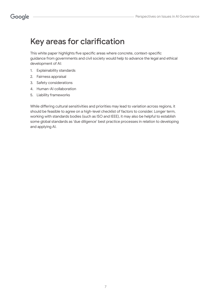## Key areas for clarification

This white paper highlights five specific areas where concrete, context-specific guidance from governments and civil society would help to advance the legal and ethical development of AI:

- 1. Explainability standards
- 2. Fairness appraisal
- 3. Safety considerations
- 4. Human-AI collaboration
- 5. Liability frameworks

While differing cultural sensitivities and priorities may lead to variation across regions, it should be feasible to agree on a high-level checklist of factors to consider. Longer term, working with standards bodies (such as ISO and IEEE), it may also be helpful to establish some global standards as 'due diligence' best practice processes in relation to developing and applying AI.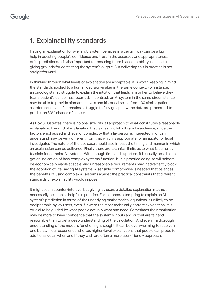## 1. Explainability standards

Having an explanation for why an AI system behaves in a certain way can be a big help in boosting people's confidence and trust in the accuracy and appropriateness of its predictions. It is also important for ensuring there is accountability, not least in giving grounds for contesting the system's output. But delivering this in practice is not straightforward.

In thinking through what levels of explanation are acceptable, it is worth keeping in mind the standards applied to a human decision-maker in the same context. For instance, an oncologist may struggle to explain the intuition that leads him or her to believe they fear a patient's cancer has recurred. In contrast, an AI system in the same circumstance may be able to provide biomarker levels and historical scans from 100 similar patients as reference, even if it remains a struggle to fully grasp how the data are processed to predict an 80% chance of cancer.

As **Box 3** illustrates, there is no one-size-fits-all approach to what constitutes a reasonable explanation. The kind of explanation that is meaningful will vary by audience, since the factors emphasized and level of complexity that a layperson is interested in or can understand may be very different from that which is appropriate for an auditor or legal investigator. The nature of the use case should also impact the timing and manner in which an explanation can be delivered. Finally there are technical limits as to what is currently feasible for complex AI systems. With enough time and expertise, it is usually possible to get an indication of how complex systems function, but in practice doing so will seldom be economically viable at scale, and unreasonable requirements may inadvertently block the adoption of life-saving AI systems. A sensible compromise is needed that balances the benefits of using complex AI systems against the practical constraints that different standards of explainability would impose.

It might seem counter-intuitive, but giving lay users a detailed explanation may not necessarily be seen as helpful in practice. For instance, attempting to explain an AI system's prediction in terms of the underlying mathematical equations is unlikely to be decipherable by lay users, even if it were the most technically correct explanation. It is crucial to be guided by what people actually want and need. Sometimes their motivation may be more to have confidence that the system's inputs and output are fair and reasonable than to get a deep understanding of the calculation. And even if a thorough understanding of the model's functioning is sought, it can be overwhelming to receive in one burst. In our experience, shorter, higher-level explanations that people can probe for additional detail when and if they wish are often a more user-friendly approach.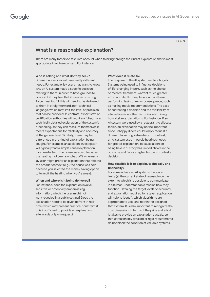### What is a reasonable explanation?

There are many factors to take into account when thinking through the kind of explanation that is most appropriate in a given context. For instance:

#### **Who is asking and what do they seek?**

Different audiences will have vastly different needs. For example, lay users may want to know why an AI system made a specific decision relating to them, in order to have grounds to contest it if they feel that it is unfair or wrong. To be meaningful, this will need to be delivered to them in straightforward, non-technical language, which may limit the level of precision that can be provided. In contrast, expert staff at certification authorities will require a fuller, more technically detailed explanation of the system's functioning, so they can reassure themselves it meets expectations for reliability and accuracy at the general level. Similarly, there may be differences in the kind of explanation being sought. For example, an accident investigator will typically find a simple causal explanation most useful (e.g., the house was cold because the heating had been switched off), whereas a lay user might prefer an explanation that reflects the broader context (e.g., the house was cold because you selected the money saving option to turn off the heating when you're away).

#### **When and where is it being delivered?**

For instance, does the explanation involve sensitive or potentially embarrassing information, which the user might not want revealed in a public setting? Does the explanation need to be given upfront in realtime (which may present practical constraints), or is it sufficient to provide an explanation afterwards only on request?

#### **What does it relate to?**

The purpose of the AI system matters hugely. Systems being used to influence decisions of life-changing import, such as the choice of medical treatment, warrant much greater effort and depth of explanation than those performing tasks of minor consequence, such as making movie recommendations. The ease of contesting a decision and the availability of alternatives is another factor in determining how vital an explanation is. For instance, if an AI system were used by a restaurant to allocate tables, an explanation may not be important since unhappy diners could simply request a different table or go elsewhere. In contrast, an AI system used in parole hearings needs far greater explanation, because a person being held in custody has limited choice in the outcome and faces a higher hurdle to contest a decision.

#### **How feasible is it to explain, technically and financially?**

For some advanced AI systems there are limits (at the current state of research) on the extent to which it is possible to communicate in a human-understandable fashion how they function. Defining the target levels of accuracy and explanation required for a given application will help to identify which algorithms are appropriate to use (and not) in the design of that system. It is also important to recognize the cost dimension, in terms of the price and effort it takes to provide an explanation at scale, so that unreasonably detailed or rigid requirements do not block the adoption of valuable systems.

#### BOX 3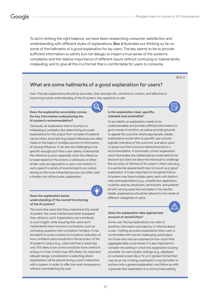To aid in striking the right balance, we have been researching consumer satisfaction and understanding with different styles of explanations. **Box 4** illustrates our thinking so far on some of the hallmarks of a good explanation for lay users. The key seems to be to provide sufficient information to satisfy but not deluge; to impart a true sense of the system's complexity and the relative importance of different inputs without confusing or inadvertently misleading; and to give all this in a format that is comfortable for users to consume.

#### BOX 4

### What are some hallmarks of a good explanation for users?

User-friendly explanations should be accurate, clear and specific, sensitive to context, and effective in improving overall understanding of the AI system. Key questions to ask:

#### **Does the explanation accurately convey the key information underpinning the AI system's recommendation?**

Obviously, an explanation that is incorrect or misleading is unhelpful. But determining accurate explanations for the output from complex AI systems can be tricky, since learning-based inferences are often made on the basis of multiple sources of information of varying influence. It can also be challenging to be specific enough such that a user clearly understands the inference source, especially when the inference is made based on the actions or attributes of other similar users as opposed to a user's own actions. In such cases if a variety of sources lead to an output, relying on the more influential sources can often yield a simpler, but still accurate, explanation.



#### **Does the explanation boost understanding of the overall functioning of the AI system?**

The more that users feel they understand the overall AI system, the more inclined and better equipped they will be to use it. Explanations can contribute to such insight, while ensuring that users don't inadvertently draw incorrect conclusions, such as confusing causation with correlation. Similarly, it may be helpful in some contexts to include an indication of how confident users should be in the accuracy of the AI system's output (e.g., users told that a result was only 70% likely to be correct would be more careful in acting on it than if told it was 98% likely). An important relevant design consideration is selecting where explanations will be placed during a user's interaction with a system, in order to offer the most transparency without overwhelming the user.

#### **Is the explanation clear, specific, relatable and actionable?**

To be helpful, an explanation needs to be understandable and provide sufficient information to give a sense of comfort, as well as provide grounds to appeal the outcome where appropriate. Ideally, explanations would refer to specific user actions logically indicative of the outcome, and allow users to grasp how their previous interactions led to a recommendation. A technically correct explanation which illuminates the mathematical model behind the decision but does not allow the individual to challenge the accuracy or fairness of its output in their case (e.g., in a parole risk assessment) may not count as a 'good' explanation. It is also important to recognize that an AI system may have multiple users, each with distinct roles and expectations (e.g., a healthcare application could be used by physicians, technicians, and patients all with varying expertise and stake in the results). Ideally, explanations should be tailored to the needs of different categories of users.

#### **Does the explanation take appropriate account of sensitivities?**



Some user-facing explanations can refer to sensitive information provided by or inferred about a user. Crafting accurate explanations that a user is comfortable with can be challenging, particularly for those who may be surprised at how much their aggregate data could reveal. It is also important to consider the setting in which the explanation is being provided. For semi-public settings (e.g., displayed on a shared screen like a TV, or in spoken format that may be at risk of being overheard) it may be better to surface only a general explanation, and follow up with a granular text explanation in a more private setting.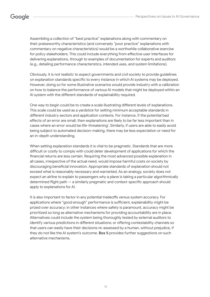Assembling a collection of "best practice" explanations along with commentary on their praiseworthy characteristics (and conversely "poor practice" explanations with commentary on negative characteristics) would be a worthwhile collaborative exercise for policy stakeholders. This could include everything from effective user interfaces for delivering explanations, through to examples of documentation for experts and auditors (e.g., detailing performance characteristics, intended uses, and system limitations).

Obviously, it is not realistic to expect governments and civil society to provide guidelines on explanation standards specific to every instance in which AI systems may be deployed. However, doing so for some illustrative scenarios would provide industry with a calibration on how to balance the performance of various AI models that might be deployed within an AI system with the different standards of explainability required.

One way to begin could be to create a scale illustrating different levels of explanations. This scale could be used as a yardstick for setting minimum acceptable standards in different industry sectors and application contexts. For instance, if the potential bad effects of an error are small, then explanations are likely to be far less important than in cases where an error would be life-threatening<sup>1</sup>. Similarly, if users are able to easily avoid being subject to automated decision-making, there may be less expectation or need for an in-depth understanding.

When setting explanation standards it is vital to be pragmatic. Standards that are more difficult or costly to comply with could deter development of applications for which the financial returns are less certain. Requiring the most advanced possible explanation in all cases, irrespective of the actual need, would impose harmful costs on society by discouraging beneficial innovation. Appropriate standards of explanation should not exceed what is reasonably necessary and warranted. As an analogy, society does not expect an airline to explain to passengers why a plane is taking a particular algorithmically determined flight path — a similarly pragmatic and context-specific approach should apply to explanations for AI.

It is also important to factor in any potential tradeoffs versus system accuracy. For applications where "good enough" performance is sufficient, explainability might be prized over accuracy; in other instances where safety is paramount, accuracy might be prioritized so long as alternative mechanisms for providing accountability are in place. Alternatives could include the system being thoroughly tested by external auditors to identify various predictions in different situations; or offering contestability channels so that users can easily have their decisions re-assessed by a human, without prejudice, if they do not like the AI system's outcome. **Box 5** provides further suggestions on such alternative mechanisms.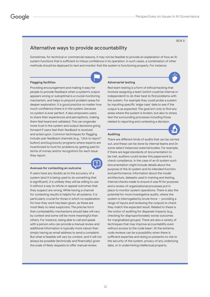#### BOX 5

### Alternative ways to provide accountability

Sometimes, for technical or commercial reasons, it may not be feasible to provide an explanation of how an AI system functions that is sufficient to imbue confidence in its operation. In such cases, a combination of other methods should be deployed to test and monitor that the system is functioning properly. For instance:

#### **Flagging facilities**

Providing encouragement and making it easy for people to provide feedback when a system's output appears wrong or suboptimal is a crucial monitoring mechanism, and helps to pinpoint problem areas for deeper exploration. It is good practice no matter how much confidence there is in the system, because no system is ever perfect. It also empowers users to share their experiences and perceptions, making them feel heard and validated. This can engender more trust in the system and output decisions going forward if users feel their feedback is received and acted upon. Common techniques for flagging include user feedback channels (e.g., "click to report" button) and bug bounty programs where experts are incentivized to hunt for problems by getting paid (in terms of money and/or recognition) for each issue they report.

#### **Avenues for contesting an outcome**

If users have any doubts as to the accuracy of a system (and it is being used to do something that is significant), it is unlikely they will be willing to use it without a way to refute or appeal outcomes that they suspect are wrong. While having a channel for contesting results is helpful for all systems, it is particularly crucial for those in which no explanation for how they work has been given, as these are most likely to raise suspicions. The precise form that contestability mechanisms should take will vary by context and some will be more meaningful than others. For instance, being able to call and speak with a person who can provide a manual review and additional information is typically more robust than simply having an email address to send a complaint. But what is feasible will vary by context, and it will not always be possible (technically and financially) given the scale of likely requests to offer manual review.

#### **Adversarial testing**

Red team testing is a form of ethical hacking that involves assigning a team (which could be internal or independent) to do their best to find problems with the system. For example they could probe a system by inputting specific 'edge case' data to see if the output is as expected. The goal isn't only to find any areas where the system is broken, but also to stress test the surrounding processes including those related to reporting and contesting a decision.



#### **Auditing**

There are different kinds of audits that can be carried out, and these can be done by internal teams and (in some select instances) external bodies. For example, if there are legal standards of documentation to be met, auditors could review this paperwork to check compliance. In the case of an AI system such documentation might include details about the purpose of the AI system and its intended function and performance; information about the model architecture, datasets used in training and testing, internal checks made to ensure it was fit for purpose; and a review of organizational processes put in place to monitor system operations. There is also the potential for more investigative audits, where the system is interrogated by brute force — providing a range of inputs and reviewing the outputs to check they match the expected result. Related to these is the notion of auditing for disparate impacts (e.g., checking for disproportionately worse outcomes for marginalized groups). There are also a variety of techniques that may improve accountability even without access to the code base<sup>2</sup>. At the extreme, code reviews can be a possibility when there is sufficient expertise and doing so presents no risk to the security of the system, privacy of any underlying data, or in undermining intellectual property.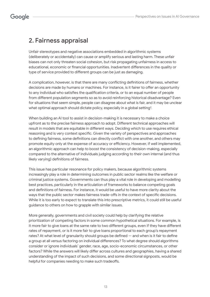## 2. Fairness appraisal

Unfair stereotypes and negative associations embedded in algorithmic systems (deliberately or accidentally) can cause or amplify serious and lasting harm. These unfair biases can not only threaten social cohesion, but risk propagating unfairness in access to educational, economic or financial opportunities. Inadvertent differences in the quality or type of service provided to different groups can be just as damaging.

A complication, however, is that there are many conflicting definitions of fairness, whether decisions are made by humans or machines. For instance, is it fairer to offer an opportunity to any individual who satisfies the qualification criteria, or to an equal number of people from different population segments so as to avoid reinforcing historical disadvantage? Even for situations that seem simple, people can disagree about what is fair, and it may be unclear what optimal approach should dictate policy, especially in a global setting $^3$ .

When building an AI tool to assist in decision-making it is necessary to make a choice upfront as to the precise fairness approach to adopt. Different technical approaches will result in models that are equitable in different ways. Deciding which to use requires ethical reasoning and is very context specific. Given the variety of perspectives and approaches to defining fairness, some definitions can directly conflict with one another, and others may promote equity only at the expense of accuracy or efficiency. However, if well implemented, an algorithmic approach can help to boost the consistency of decision-making, especially compared to the alternative of individuals judging according to their own internal (and thus likely varying) definitions of fairness.

This issue has particular resonance for policy makers, because algorithmic systems increasingly play a role in determining outcomes in public sector realms like the welfare or criminal justice systems. Governments can thus play a vital role in developing and modelling best practices, particularly in the articulation of frameworks to balance competing goals and definitions of fairness. For instance, it would be useful to have more clarity about the ways that the public sector makes fairness trade-offs in the context of specific decisions. While it is too early to expect to translate this into prescriptive metrics, it could still be useful guidance to others on how to grapple with similar issues.

More generally, governments and civil society could help by clarifying the relative prioritization of competing factors in some common hypothetical situations. For example, is it more fair to give loans at the same rate to two different groups, even if they have different rates of repayment, or is it more fair to give loans proportional to each group's repayment rates? At what level of granularity should groups be defined — and when is it fair to define a group at all versus factoring on individual differences? To what degree should algorithms consider or ignore individuals' gender, race, age, socio-economic circumstances, or other factors? While the answers will likely differ across cultures and geographies, having a shared understanding of the impact of such decisions, and some directional signposts, would be helpful for companies needing to make such tradeoffs.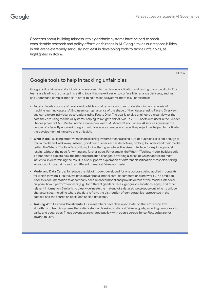Concerns about building fairness into algorithmic systems have helped to spark considerable research and policy efforts on fairness in AI. Google takes our responsibilities in this arena extremely seriously, not least in developing tools to tackle unfair bias, as highlighted in **Box 6**.

BOX 6

### Google tools to help in tackling unfair bias

Google builds fairness and ethical considerations into the design, application and testing of our products. Our teams are leading the charge in creating tools that make it easier to surface bias, analyze data sets, and test and understand complex models in order to help make AI systems more fair. For example:

- **Facets:** Facets consists of two downloadable visualization tools to aid understanding and analysis of machine learning datasets<sup>4</sup>. Engineers can get a sense of the shape of their dataset using Facets Overview, and can explore individual observations using Facets Dive. The goal is to give engineers a clear view of the data they are using to train AI systems, helping to mitigate risk of bias. In 2018, Facets was used in the Gender Shades project of MIT Media Lab<sup>5</sup> to explore how well IBM, Microsoft and Face++ AI services guessed the gender of a face. By uncovering algorithmic bias across gender and race, the project has helped to motivate the development of inclusive and ethical AI.
- **What If Tool:** Building effective machine learning systems means asking a lot of questions. It is not enough to train a model and walk away. Instead, good practitioners act as detectives, probing to understand their model better. The What-If Tool is a TensorFlow plugin offering an interactive visual interface for exploring model results, without the need for writing any further code. For example, the What-If Tool lets model builders edit a datapoint to explore how the model's prediction changes, providing a sense of which factors are most influential in determining the result. It also supports exploration of different classification thresholds, taking into account constraints such as different numerical fairness criteria.
- **Model and Data Cards:** To reduce the risk of models developed for one purpose being applied in contexts for which they are ill-suited, we have developed a 'model card' documentation framework<sup>6</sup>. The ambition is for this documentation to accompany each released model and provide details of the model's intended purpose, how it performs in tests (e.g., for different genders, races, geographic locations, ages), and other relevant information. Similarly, to clearly delineate the makeup of a dataset, we propose outlining its unique characteristics, including where the data is from, the distribution of demographics represented in the dataset, and the source of labels (for labeled datasets)<sup>7</sup>.
- **Training With Fairness Constraints:** Our researchers have developed state-of-the-art TensorFlow algorithms to train AI systems that satisfy standard desired statistical fairness goals, including demographic parity and equal odds. These advances are shared publicly with open-sourced TensorFlow software for anyone to use $^8$ .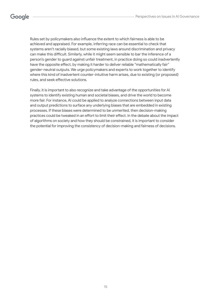Rules set by policymakers also influence the extent to which fairness is able to be achieved and appraised. For example, inferring race can be essential to check that systems aren't racially biased, but some existing laws around discrimination and privacy can make this difficult. Similarly, while it might seem sensible to bar the inference of a person's gender to guard against unfair treatment, in practice doing so could inadvertently have the opposite effect, by making it harder to deliver reliable "mathematically fair" gender-neutral outputs. We urge policymakers and experts to work together to identify where this kind of inadvertent counter-intuitive harm arises, due to existing (or proposed) rules, and seek effective solutions.

Finally, it is important to also recognize and take advantage of the opportunities for AI systems to identify existing human and societal biases, and drive the world to become more fair. For instance, AI could be applied to analyze connections between input data and output predictions to surface any underlying biases that are embedded in existing processes. If these biases were determined to be unmerited, then decision-making practices could be tweaked in an effort to limit their effect. In the debate about the impact of algorithms on society and how they should be constrained, it is important to consider the potential for improving the consistency of decision-making and fairness of decisions.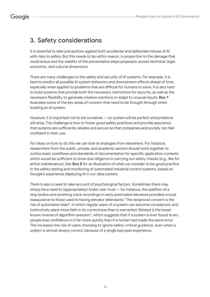## 3. Safety considerations

It is essential to take precautions against both accidental and deliberate misuse of AI with risks to safety. But this needs to be within reason, in proportion to the damage that could ensue and the viability of the preventative steps proposed, across technical, legal, economic, and cultural dimensions.

There are many challenges to the safety and security of AI systems. For example, it is hard to predict all possible AI system behaviors and downstream effects ahead of time, especially when applied to problems that are difficult for humans to solve. It is also hard to build systems that provide both the necessary restrictions for security, as well as the necessary flexibility to generate creative solutions or adapt to unusual inputs. **Box 7** illustrates some of the key areas of concern that need to be thought through when building an AI system.

However, it is important not to kid ourselves — no system will be perfect and problems will arise. The challenge is how to foster good safety practices and provide assurance that systems are sufficiently reliable and secure so that companies and society can feel confident in their use.

For ideas on how to do this we can look at analogies from elsewhere. For instance, researchers from the public, private, and academic sectors should work together to outline basic workflows and standards of documentation for specific application contexts which would be sufficient to show due diligence in carrying out safety checks (e.g., like for airline maintenance). See **Box 8** for an illustration of what we consider to be good practice in the safety testing and monitoring of automated industrial control systems, based on Google's experience deploying AI in our data centers.

There is also a need to take account of psychological factors. Sometimes there may simply be a need to (appropriately) foster user trust  $-$  for instance, the addition of a stop button and soothing voice recordings in early automated elevators provided crucial reassurance to those used to having elevator attendants.<sup>9</sup> The reciprocal concern is the risk of automation bias<sup>10</sup>, in which regular users of a system can become complacent, and instinctively place more faith in its correctness than is warranted. Related is the lesser known inverse of algorithm aversion<sup>11</sup>, which suggests that if a system is ever found to err, people lose confidence in it far more quickly than if a human had made the same error. This increases the risk of users choosing to ignore safety-critical guidance, even when a system is almost always correct, because of a single bad past experience.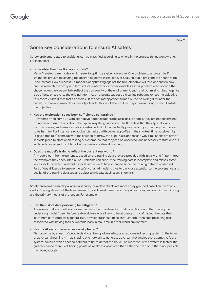BOX 7

### Some key considerations to ensure AI safety

Safety problems related to accidents can be classified according to where in the process things went wrong. For instance<sup>12</sup>:

#### • **Is the objective function appropriate?**

Many AI systems are models which seek to optimize a given objective. One problem to arise can be if limitations prevent measuring the desired objective in real time, or at all, so that a proxy metric needs to be used instead. How successful a model is at optimizing against the true objective will thus depend on how precise a match the proxy is in terms of its relationship to other variables. Other problems can occur if the chosen objective doesn't fully reflect the complexity of the environment, such that optimizing it has negative side effects or subverts the original intent. As an analogy, suppose a cleaning robot maker set the objective to remove visible dirt as fast as possible. If the optimal approach turned out to be hiding dirt under the carpet, or throwing away all visible dirty objects, this would be a failure in spirit even though it might satisfy the objective.

#### • **Has the exploration space been sufficiently constrained?**

AI systems often come up with alternative better solutions because, unlike people, they are not constrained by ingrained assumptions about the typical way things are done. The flip side is that they typically lack common sense, and unless suitably constrained might inadvertently propose to try something that turns out to be harmful. For instance, a robot barista tasked with delivering coffee in the shortest time possible might (if given free rein) come up with the solution to throw the cup! This is one reason why simulations are often a sensible place to start when testing AI systems, so that they can be observed, and necessary restrictions put in place, to avoid such problems before use in a real-world setting.

#### • **Does the model's training reflect the current real world?**

AI models learn from experience, based on the training data they are provided with initially, and (if permitted) the examples they encounter in use. Problems can arise if the training data is incomplete and misses some key aspects, or even if relevant aspects of the world have changed since the training data was collected. Part of due diligence to ensure the safety of an AI model is thus to pay close attention to the provenance and quality of the training data set, and adjust to mitigate against any shortfalls.

Safety problems caused by a lapse in security, or a clever hack, are more easily grouped based on the attack vector. Staying abreast of the latest research, solid development and design practices, and ongoing monitoring are the primary means of protection. For example:

#### • **Can the risk of data poisoning be mitigated?**

AI systems that are continuously learning — rather than learning in lab conditions, and then having the underlying model frozen before real-world use — are likely to be at greatest risk of having the data they learn from corrupted. As a general rule, developers should think carefully about the data poisoning risks associated with having their AI systems learn in real-time in a real-world environment.

#### • **Has the AI system been adversarially tested?**

This could be by a team of people playing at being adversaries, or an automated testing system in the form of adversarial learning — that is, using one network to generate adversarial examples that attempt to fool a system, coupled with a second network to try to detect the fraud. The more robustly a system is tested, the greater chance there is of finding points of weakness which can then either be fixed or (if that's not possible) monitored closely<sup>13</sup>.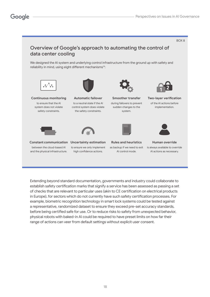

Extending beyond standard documentation, governments and industry could collaborate to establish safety certification marks that signify a service has been assessed as passing a set of checks that are relevant to particular uses (akin to CE certification on electrical products in Europe), for sectors which do not currently have such safety certification processes. For example, biometric recognition technology in smart lock systems could be tested against a representative, randomized dataset to ensure they exceed pre-set accuracy standards, before being certified safe for use. Or to reduce risks to safety from unexpected behavior, physical robots with baked-in AI could be required to have preset limits on how far their range of actions can veer from default settings without explicit user consent.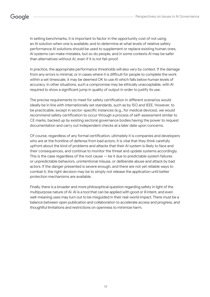In setting benchmarks, it is important to factor in the opportunity cost of not using an AI solution when one is available; and to determine at what levels of relative safety performance AI solutions should be used to supplement or replace existing human ones. AI systems can make mistakes, but so do people, and in some contexts AI may be safer than alternatives without AI, even if it is not fail-proof.

In practice, the appropriate performance thresholds will also vary by context. If the damage from any errors is minimal, or in cases where it is difficult for people to complete the work within a set timescale, it may be deemed OK to use AI which falls below human levels of accuracy. In other situations, such a compromise may be ethically unacceptable, with AI required to show a significant jump in quality of output in order to justify its use.

The precise requirements to meet for safety certification in different scenarios would ideally be in line with internationally set standards, such as by ISO and IEEE. However, to be practicable, except in sector-specific instances (e.g., for medical devices), we would recommend safety certification to occur through a process of self-assessment similar to CE marks, backed up by existing sectoral governance bodies having the power to request documentation and carry out independent checks at a later date upon concerns.

Of course, regardless of any formal certification, ultimately it is companies and developers who are at the frontline of defense from bad actors. It is vital that they think carefully upfront about the kind of problems and attacks that their AI system is likely to face and their consequences, and continue to monitor the threat and update systems accordingly. This is the case regardless of the root cause  $-$  be it due to predictable system failures or unpredictable behaviors, unintentional misuse, or deliberate abuse and attack by bad actors. If the danger presented is severe enough, and there are not yet reliable ways to combat it, the right decision may be to simply not release the application until better protection mechanisms are available.

Finally, there is a broader and more philosophical question regarding safety in light of the multipurpose nature of AI. AI is a tool that can be applied with good or ill intent, and even well-meaning uses may turn out to be misguided in their real-world impact. There must be a balance between open publication and collaboration to accelerate access and progress, and thoughtful limitations and restrictions on openness to minimize harm.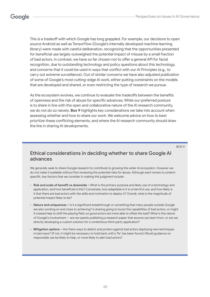This is a tradeoff with which Google has long grappled. For example, our decisions to open source Android as well as TensorFlow (Google's internally developed machine learning library) were made with careful deliberation, recognizing that the opportunities presented for beneficial use largely outweighed the potential impact of misuse by a small fraction of bad actors. In contrast, we have so far chosen not to offer a general API for facial recognition, due to outstanding technology and policy questions about this technology, and concerns that it could be used in ways that conflict with our AI Principles (e.g., to carry out extreme surveillance). Out of similar concerns we have also adjusted publication of some of Google's most cutting-edge AI work, either putting constraints on the models that are developed and shared, or even restricting the type of research we pursue.

As the ecosystem evolves, we continue to evaluate the tradeoffs between the benefits of openness and the risk of abuse for specific advances. While our preferred posture is to share in line with the open and collaborative nature of the AI research community, we do not do so naively. **Box 9** highlights key considerations we take into account when assessing whether and how to share our work. We welcome advice on how to best prioritize these conflicting elements, and where the AI research community should draw the line in sharing AI developments.

#### BOX 9

### Ethical considerations in deciding whether to share Google AI advances

We generally seek to share Google research to contribute to growing the wider AI ecosystem. However we do not make it available without first reviewing the potential risks for abuse. Although each review is contentspecific, key factors that we consider in making this judgment include:

- **Risk and scale of benefit vs downside –** What is the primary purpose and likely use of a technology and application, and how beneficial is this? Conversely, how adaptable is it to a harmful use, and how likely is it that there are bad actors with the skills and motivation to deploy it? Overall, what is the magnitude of potential impact likely to be?
- **Nature and uniqueness –** Is it a significant breakthrough or something that many people outside Google are also working on and close to achieving? Is sharing going to boost the capabilities of bad actors, or might it instead help to shift the playing field, so good actors are more able to offset the bad? What is the nature of Google's involvement — are we openly publishing a research paper that anyone can learn from, or are we directly developing a custom solution for a contentious third-party application?
- **Mitigation options –** Are there ways to detect and protect against bad actors deploying new techniques in bad ways? (If not, it might be necessary to hold back until a 'fix' has been found.) Would guidance on responsible use be likely to help, or more likely to alert bad actors?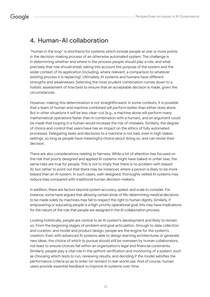## 4. Human-AI collaboration

"Human in the loop" is shorthand for systems which include people at one or more points in the decision-making process of an otherwise automated system. The challenge is in determining whether and where in the process people should play a role, and what precisely that role should entail, taking into account the purpose of the system and the wider context of its application (including, where relevant, a comparison to whatever existing process it is replacing). Ultimately, AI systems and humans have different strengths and weaknesses. Selecting the most prudent combination comes down to a holistic assessment of how best to ensure that an acceptable decision is made, given the circumstances.

However, making this determination is not straightforward. In some contexts, it is possible that a team of human and machine combined will perform better than either does alone. But in other situations it will be less clear-cut (e.g., a machine alone will perform many mathematical operations faster than in combination with a human), and an argument could be made that looping in a human would increase the risk of mistakes. Similarly, the degree of choice and control that users have has an impact on the ethics of fully automated processes. Delegating tasks and decisions to a machine is not bad, even in high stakes settings, so long as people have meaningful choice about doing so, and can revise their decision.

There are also considerations relating to fairness. While a lot of attention has focused on the risk that poorly designed and applied AI systems might have baked-in unfair bias, the same risks are true for people. This is not to imply that there is no problem with biased AI; but rather to point out that there may be instances where a person is likely to be more biased than an AI system. In such cases, well-designed, thoroughly vetted AI systems may reduce bias compared with traditional human decision-makers.

In addition, there are factors beyond system accuracy, speed, and scale to consider. For instance, some have argued that allowing certain kinds of life-determining medical decisions to be made solely by machines may fail to respect the right to human dignity. Similarly, if empowering or educating people is a high-priority operational goal, this may have implications for the nature of the role that people are assigned in the AI collaboration process.

Looking holistically, people are central to an AI system's development and likely to remain so. From the beginning stages of problem and goal articulation, through to data collection and curation, and model and product design, people are the engine for the system's creation. Even with advanced AI systems able to design learning architectures or generate new ideas, the choice of which to pursue should still be overseen by human collaborators, not least to ensure choices fall within an organization's legal and financial constraints. Similarly, people play a vital role in the upfront verification and monitoring of a system, such as choosing which tests to run, reviewing results, and deciding if the model satisfies the performance criteria so as to enter (or remain) in real-world use. And of course, human users provide essential feedback to improve AI systems over time.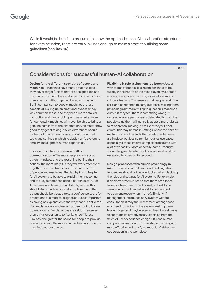While it would be hubris to presume to know the optimal human-AI collaboration structure for every situation, there are early inklings enough to make a start at outlining some guidelines (see **Box 10**).

BOX 10

### Considerations for successful human-AI collaboration

**Design for the different strengths of people and machines –** Machines have many great qualities they never forget (unless they are designed to), and they can crunch numbers and scan documents faster than a person without getting bored or impatient. But in comparison to people, machines are less capable of picking up on emotional nuances; they lack common sense; and they need more detailed instruction and hand-holding with new tasks. More fundamentally, machines will never be able to bring a genuine humanity to their interactions, no matter how good they get at faking it. Such differences should be front of mind when thinking about the kind of tasks and settings in which to deploy an AI system to amplify and augment human capabilities.

#### **Successful collaborations are built on**

**communication –** The more people know about others' mindsets and the reasoning behind their actions, the more likely it is they will work effectively together, because trust is built. The same is true of people and machines. That is why it is so helpful for AI systems to be able to explain their reasoning and the key factors that led to a certain output. For AI systems which are probabilistic by nature, this should also include an indicator for how much the output should be trusted (e.g., a confidence score for predictions of a medical diagnosis). Just as important as having an explanation is the way that it is delivered. If an explanation is unclear or too hard to find it loses potency, since if explanations are seldom reviewed then a vital opportunity to "sanity check" is lost. Similarly, the greater the scope for people to provide relevant context, the more nuanced and accurate the machine's output can be.

**Flexibility in role assignment is a boon –**Just as with teams of people, it is helpful for there to be fluidity in the nature of the roles played by a person working alongside a machine, especially in safetycritical situations. This ensures that people retain the skills and confidence to carry out tasks, making them psychologically more willing to question a machine's output if they feel there is something wrong. If certain tasks are permanently delegated to machines, people using them will naturally adopt a more laissez faire approach, making it less likely they will spot errors. This may be fine in settings where the risks of malfunction are low and other safety mechanisms are in place, but less so for high-stakes use cases, especially if these involve complex procedures with a lot of variability. More generally, careful thought should be given to when and how issues should be escalated to a person to respond.

#### **Design processes with human psychology in**

**mind** – People's natural emotional and cognitive tendencies should not be overlooked when deciding the roles and settings for AI systems. For example, if an alarm system is set so that there are a lot of false positives, over time it is likely at best to be seen as an irritant, and at worst to be assumed to be wrong (even when it is not). Similarly, if management introduces an AI system without consultation, it may fuel resentment among those who need to work with the system, making them less engaged and maybe even inclined to seek ways to sabotage its effectiveness. Expertise from the fields of user experience design (UX) and humancomputer interaction (HCI) can shape the design of more effective and satisfying models of AI-human cooperation in the workplace.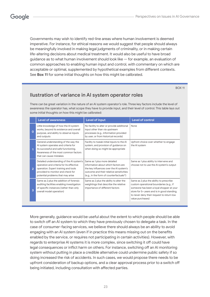Governments may wish to identify red-line areas where human involvement is deemed imperative. For instance, for ethical reasons we would suggest that people should always be meaningfully involved in making legal judgments of criminality, or in making certain life-altering decisions about medical treatment. It would also be useful to have broad guidance as to what human involvement should look like — for example, an evaluation of common approaches to enabling human input and control, with commentary on which are acceptable or optimal, supplemented by hypothetical examples from different contexts. See **Box 11** for some initial thoughts on how this might be calibrated.

#### BOX 11

### Ilustration of variance in AI system operator roles

There can be great variation in the nature of an AI system operator's role. Three key factors include the level of awareness the operator has, what scope they have to provide input, and their level of control. This table lays out some initial thoughts on how this might be calibrated:

|                | <b>Level of awareness</b>                                                                                                                                                                               | Level of input                                                                                                                                                                                                      | <b>Level of control</b>                                                                                                                                                                                                                        |
|----------------|---------------------------------------------------------------------------------------------------------------------------------------------------------------------------------------------------------|---------------------------------------------------------------------------------------------------------------------------------------------------------------------------------------------------------------------|------------------------------------------------------------------------------------------------------------------------------------------------------------------------------------------------------------------------------------------------|
| $\Omega$       | Little knowledge of how the AI system<br>works, beyond its existence and overall<br>purpose, and ability to observe inputs<br>and outputs                                                               | No facility to alter or provide additional<br>input other than via upstream<br>processes (e.g., information provided<br>by user, or from historical records)                                                        | None                                                                                                                                                                                                                                           |
|                | General understanding of the way the<br>Al system operates and criteria for<br>its successful and safe functioning.<br>Awareness of the most common factors<br>that can cause mistakes                  | Facility to tweak initial inputs to the Al<br>system, and provision of guidance on<br>when doing so might be appropriate                                                                                            | Upfront choice over whether to engage<br>the AI system                                                                                                                                                                                         |
| $\overline{2}$ | Detailed understanding of the AI system's<br>operation and criteria for its effective<br>operation. Expert training and tools<br>provided to monitor and check for<br>potential problems that may arise | Same as 1 plus more detailed<br>information about which factors are<br>the key influences over the AI system's<br>outcome and their relative sensitivities<br>(e.g., in the form of counterfactuals <sup>15</sup> ) | Same as 1 plus ability to intervene and<br>choose not to use the AI system's output                                                                                                                                                            |
| 3              | Same as 2 plus the addition of forensic<br>auditing facilities enabling investigation<br>of specific instances (rather than only<br>overall model operation)                                            | Same as 2 plus the ability to alter the<br>weightings that describe the relative<br>importance of different factors                                                                                                 | Same as 2 plus the ability to prescribe<br>custom operational boundaries (e.g., if<br>someone has been a loyal shopper at your<br>store for 5+ years and is in good standing,<br>to never deny their request to return low<br>value purchases) |

More generally, guidance would be useful about the extent to which people should be able to switch off an AI system to which they have previously chosen to delegate a task. In the case of consumer-facing services, we believe there should always be an ability to avoid engaging with an AI system (even if in practice this means missing out on the benefits enabled by the service, or requires not participating in certain activities). However, with regards to enterprise AI systems it is more complex, since switching it off could have legal consequences or inflict harm on others. For instance, switching off an AI monitoring system without putting in place a credible alternative could undermine public safety if so doing increased the risk of accidents. In such cases, we would propose there needs to be upfront consideration of backup options, and a clear approval process prior to a switch off being initiated, including consultation with affected parties.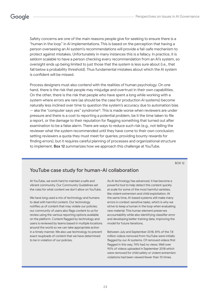Safety concerns are one of the main reasons people give for seeking to ensure there is a "human in the loop" in AI implementations. This is based on the perception that having a person overseeing an AI system's recommendations will provide a fail-safe mechanism to protect against mistakes. Unfortunately in many instances this is a fallacy. In practice, it is seldom scalable to have a person checking every recommendation from an AI's system, so oversight ends up being limited to just those that the system is less sure about (i.e., that fall below a probability threshold). Thus fundamental mistakes about which the AI system is confident will be missed.

Process designers must also contend with the realities of human psychology. On one hand, there is the risk that people may misjudge and overtrust in their own capabilities. On the other, there is the risk that people who have spent a long while working with a system where errors are rare (as should be the case for production AI systems) become naturally less inclined over time to question the system's accuracy due to automation bias  $-$  aka the "computer says yes" syndrome<sup>16</sup>. This is made worse when reviewers are under pressure and there is a cost to reporting a potential problem, be it the time taken to file a report, or the damage to their reputation for flagging something that turned out after examination to be a false alarm. There are ways to reduce such risk (e.g., not telling the reviewer what the system recommended until they have come to their own conclusion; setting reviewers a quota they must meet for queries; providing bounty rewards for finding errors), but it requires careful planning of processes and organizational structure to implement. **Box 12** summarizes how we approach this challenge at YouTube.

BOX 12

## YouTube case study for human-AI collaboration

At YouTube, we work hard to maintain a safe and vibrant community. Our Community Guidelines set the rules for what content we don't allow on YouTube.

We have long used a mix of technology and humans to deal with harmful content. Our technology notifies us of content that may violate our policies; our community of users also flags content to us for review using the various reporting options available on the platform. Content flagged by technology and users is reviewed by teams based in multiple locations around the world so we can take appropriate action in a timely manner. We also use technology to prevent exact reuploads of content that we have determined to be in violation of our policies.

As AI technology has advanced, it has become a powerful tool to help detect this content quickly at scale for some of the most harmful varieties, like violent extremism and child exploitation. At the same time, AI-based systems still make many errors in context-sensitive tasks, which is why we strive to keep a human in the loop when evaluating new material. This human element preserves accountability while also identifying classifier error and developing better training data, improving the model for future iterations.

Between July and September 2018, 81% of the 7.8 million videos removed from YouTube were initially flagged by our AI systems. Of removed videos first flagged in this way, 74% had no views. Well over 90% of videos uploaded in September 2018 which were removed for child safety or violent extremism violations had been viewed fewer than 10 times.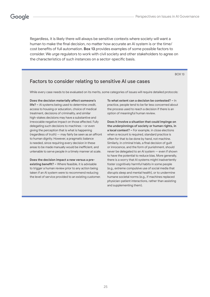Regardless, it is likely there will always be sensitive contexts where society will want a human to make the final decision, no matter how accurate an AI system is or the time/ cost benefits of full automation. **Box 13** provides examples of some possible factors to consider. We urge regulators to work with civil society and other stakeholders to agree on the characteristics of such instances on a sector-specific basis.

BOX 13

### Factors to consider relating to sensitive AI use cases

While every case needs to be evaluated on its merits, some categories of issues will require detailed protocols:

**Does the decision materially affect someone's life? –** AI systems being used to determine credit, access to housing or education, choice of medical treatment, decisions of criminality, and similar high-stakes decisions may have a substantive and irrevocable negative impact on those affected. Fully delegating such decisions to machines —or even giving the perception that is what is happening (regardless of truth) — may fairly be seen as an affront to human dignity. However, a pragmatic balance is needed, since requiring every decision in these areas to be made manually would be inefficient, and untenable to serve people in a timely manner at scale.

**Does the decision impact a new versus a preexisting benefit? –** Where feasible, it is advisable to trigger a human review prior to any action being taken if an AI system were to recommend reducing the level of service provided to an existing customer. **To what extent can a decision be contested? –** In practice, people tend to be far less concerned about the process used to reach a decision if there is an option of meaningful human review.

**Does it involve a situation that could impinge on the underpinnings of society or human rights, in a local context? –** For example, in close elections when a recount is required, standard practice is often for that to be done by hand, not machine. Similarly, in criminal trials, a final decision of guilt or innocence, and the form of punishment, should never be delegated to an AI system — even if shown to have the potential to reduce bias. More generally, there is a worry that AI systems might inadvertently foster cognitively harmful habits in some people (e.g., extreme compulsive use of social media that disrupts sleep and mental health), or to undermine humane societal norms (e.g., if machines replaced physician-patient interactions, rather than assisting and supplementing them).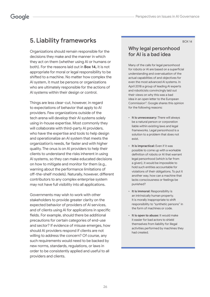BOX 14

## 5. Liability frameworks

Organizations should remain responsible for the decisions they make and the manner in which they act on them (whether using AI or humans or both). For the reasons laid out in **Box 14,** it is not appropriate for moral or legal responsibility to be shifted to a machine. No matter how complex the AI system, it must be persons or organizations who are ultimately responsible for the actions of AI systems within their design or control.

Things are less clear-cut, however, in regard to expectations of behavior that apply to AI providers. Few organizations outside of the tech arena will develop their AI systems solely using in-house expertise. Most commonly they will collaborate with third-party AI providers, who have the expertise and tools to help design and operationalize an AI system that meets the organization's needs, far faster and with higher quality. The onus is on AI providers to help their clients to understand the risks inherent in using AI systems, so they can make educated decisions on how to mitigate and monitor for them (e.g., warning about the performance limitations of off-the-shelf models). Naturally, however, different contributors to any complex enterprise system may not have full visibility into all applications.

Governments may wish to work with other stakeholders to provide greater clarity on the expected behavior of providers of AI services, and of clients using AI for applications in specific fields. For example, should there be additional precautions for certain categories of end-use and sector? If evidence of misuse emerges, how should AI providers respond if clients are not willing to address the concern? Of course, any such requirements would need to be backed by new norms, standards, regulations, or laws in order to be consistently applied and useful to all providers and clients.

### Why legal personhood for AI is a bad idea

Many of the calls for legal personhood for robots or AI are based on a superficial understanding and overvaluation of the actual capabilities of and objectives for even the most advanced AI systems. In April 2018 a group of leading AI experts and roboticists convincingly laid out their views on why this was a bad idea in an open letter to the European Commission<sup>17</sup>. Google shares this opinion for the following reasons:

- **It is unnecessary:** There will always be a natural person or corporation liable within existing laws and legal frameworks. Legal personhood is a solution to a problem that does not exist.
- **It is impractical:** Even if it was possible to come up with a workable definition of robots or AI that warrant legal personhood (which is far from a given), it would be impossible to hold such entities accountable for violations of their obligations. To put it another way, how can a machine that lacks consciousness or feelings be punished?
- **It is immoral:** Responsibility is an intrinsically human property. It is morally inappropriate to shift responsibility to "synthetic persons" in the form of machines or code.
- **It is open to abuse:** It would make it easier for bad actors to shield themselves from liability for illegal activities performed by machines they had created.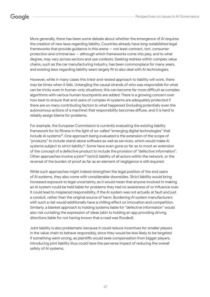More generally, there has been some debate about whether the emergence of AI requires the creation of new laws regarding liability. Countries already have long-established legal frameworks that provide guidance in this arena — not least contract, tort, consumer protection and criminal law — although which frameworks come into play, and to what degree, may vary across sectors and use contexts. Seeking redress within complex value chains, such as the car manufacturing industry, has been commonplace for many years, and existing laws regarding liability seem largely fit to also deal with AI technologies.

However, while in many cases this tried-and-tested approach to liability will work, there may be times when it fails. Untangling the causal strands of who was responsible for what can be tricky even in human-only situations; this can become far more difficult as complex algorithms with various human touchpoints are added. There is a growing concern over how best to ensure that end users of complex AI systems are adequately protected if there are so many contributing factors to what happened (including potentially even the autonomous actions of a machine) that responsibility becomes diffuse, and it is hard to reliably assign blame for problems.

For example, the European Commission is currently evaluating the existing liability framework for its fitness in the light of so-called "emerging digital technologies" that include AI systems<sup>18</sup>. One approach being evaluated is the extension of the scope of "products" to include stand-alone software as well as services, which would make AI systems subject to strict liability<sup>19</sup>. Some have even gone so far as to moot an extension of the concept of a defective product to include the provision of "defective information". Other approaches involve a joint<sup>20</sup> (strict) liability of all actors within the network, or the reversal of the burden of proof as far as an element of negligence is still required.

While such approaches might indeed strengthen the legal position of the end users of AI systems, they also come with considerable downsides. Strict liability would bring increased exposure to legal uncertainty, as it would mean that anyone involved in making an AI system could be held liable for problems they had no awareness of or influence over. It could lead to misplaced responsibility, if the AI system was not actually at fault and just a conduit, rather than the original source of harm. Burdening AI system manufacturers with such a risk would additionally have a chilling effect on innovation and competition. Similarly, a blanket approach to holding systems liable for "defective information" would also risk curtailing the expression of ideas (akin to holding an app providing driving directions liable for not having known that a road was flooded).

Joint liability is also problematic because it could reduce incentives for smaller players in the value chain to behave responsibly, since they would be less likely to be targeted if something went wrong, as plaintiffs would seek compensation from bigger players. Introducing joint liability thus could have the perverse impact of reducing the overall safety of AI systems.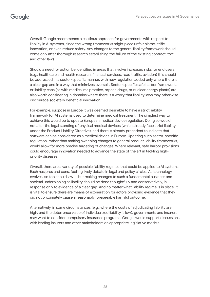Overall, Google recommends a cautious approach for governments with respect to liability in AI systems, since the wrong frameworks might place unfair blame, stifle innovation, or even reduce safety. Any changes to the general liability framework should come only after thorough research establishing the failure of the existing contract, tort, and other laws.

Should a need for action be identified in areas that involve increased risks for end users (e.g., healthcare and health research, financial services, road traffic, aviation) this should be addressed in a sector-specific manner, with new regulation added only where there is a clear gap and in a way that minimizes overspill. Sector-specific safe harbor frameworks or liability caps (as with medical malpractice, orphan drugs, or nuclear energy plants) are also worth considering in domains where there is a worry that liability laws may otherwise discourage societally beneficial innovation.

For example, suppose in Europe it was deemed desirable to have a strict liability framework for AI systems used to determine medical treatment. The simplest way to achieve this would be to update European medical device regulation. Doing so would not alter the legal standing of physical medical devices (which already face strict liability under the Product Liability Directive), and there is already precedent to indicate that software can be considered as a medical device in Europe. Updating such sector-specific regulation, rather than making sweeping changes to general product liability frameworks, would allow for more precise targeting of changes. Where relevant, safe harbor provisions could encourage innovation needed to advance the state of the art in tackling highpriority diseases.

Overall, there are a variety of possible liability regimes that could be applied to AI systems. Each has pros and cons, fuelling lively debate in legal and policy circles. As technology evolves, so too should law — but making changes to such a fundamental business and societal underpinning as liability should be done thoughtfully and conservatively, in response only to evidence of a clear gap. And no matter what liability regime is in place, it is vital to ensure there are means of exoneration for actors providing evidence that they did not proximately cause a reasonably foreseeable harmful outcome.

Alternatively, in some circumstances (e.g., where the costs of adjudicating liability are high, and the deterrence value of individualized liability is low), governments and insurers may want to consider compulsory insurance programs. Google would support discussions with leading insurers and other stakeholders on appropriate legislative models.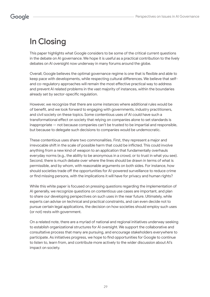## Google

## In Closing

This paper highlights what Google considers to be some of the critical current questions in the debate on AI governance. We hope it is useful as a practical contribution to the lively debates on AI oversight now underway in many forums around the globe.

Overall, Google believes the optimal governance regime is one that is flexible and able to keep pace with developments, while respecting cultural differences. We believe that selfand co-regulatory approaches will remain the most effective practical way to address and prevent AI related problems in the vast majority of instances, within the boundaries already set by sector-specific regulation.

However, we recognize that there are some instances where additional rules would be of benefit, and we look forward to engaging with governments, industry practitioners, and civil society on these topics. Some contentious uses of AI could have such a transformational effect on society that relying on companies alone to set standards is inappropriate — not because companies can't be trusted to be impartial and responsible, but because to delegate such decisions to companies would be undemocratic.

These contentious uses share two commonalities. First, they represent a major and irrevocable shift in the scale of possible harm that could be inflicted. This could involve anything from a new kind of weapon to an application that fundamentally overhauls everyday norms (e.g., the ability to be anonymous in a crowd, or to trust in what you see). Second, there is much debate over where the lines should be drawn in terms of what is permissible, and by whom, with reasonable arguments on both sides. For instance, how should societies trade off the opportunities for AI-powered surveillance to reduce crime or find missing persons, with the implications it will have for privacy and human rights?

While this white paper is focused on pressing questions regarding the implementation of AI generally, we recognize questions on contentious use cases are important, and plan to share our developing perspectives on such uses in the near future. Ultimately, while experts can advise on technical and practical constraints, and can even decide not to pursue certain legal applications, the decision on how societies should employ such uses (or not) rests with government.

On a related note, there are a myriad of national and regional initiatives underway seeking to establish organizational structures for AI oversight. We support the collaborative and consultative process that many are pursuing, and encourage stakeholders everywhere to participate. As initiatives progress, we hope to find opportunities for Google to continue to listen to, learn from, and contribute more actively to the wider discussion about AI's impact on society.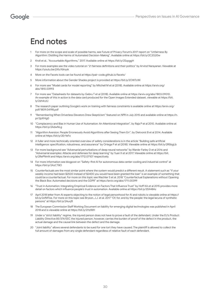## End notes

- 1 For more on the scope and scale of possible harms, see Future of Privacy Forum's 2017 report on "Unfairness By Algorithm: Distilling the Harms of Automated Decision-Making". Available online at https://bit.ly/2C2G20w
- 2 Kroll et al., "Accountable Algorithms," 2017. Available online at https://bit.ly/2SzpggH
- 3 For more examples see the video tutorial on "21 fairness definitions and their politics" by Arvind Narayanan. Viewable at https://youtu.be/jIXIuYdnyyk
- 4 More on the Facets tools can be found at https://pair-code.github.io/facets/
- 5 More information about the Gender Shades project is provided at https://bit.ly/2OWTcWi
- 6 For more see "Model cards for model reporting" by Mitchell M et al (2018). Available online at https://arxiv.org/ abs/1810.03993
- 7 For more see "Datasheets for datasets by Gebru T et al (2018). Available online at https://arxiv.org/abs/1803.09010. An example of this in action is the data card produced for the Open Images Extended dataset, viewable at https://bit. ly/2sh4czU
- 8 The research paper outlining Google's work on training with fairness constraints is available online at https://arxiv.org/ pdf/1809.04198.pdf
- 9 "Remembering When Driverless Elevators Drew Skepticism" featured on NPR in July 2015 and available online at https://n. pr/2pXHig0
- 10 "Complacency and Bias in Human Use of Automation: An Attentional Integration", by Raja P et al 2010. Available online at https://bit.ly/2AdwNLg
- 11 "Algorithm Aversion: People Erroneously Avoid Algorithms after Seeing Them Err", by Dietvorst B et al 2014. Available online at https://bit.ly/2ErYeFo
- 12 A fuller and more technically oriented overview of safety considerations is in the article "Building safe artificial intelligence: specification, robustness, and assurance" by Ortega P et al (2018). Viewable online at https://bit.ly/2R5bgLb
- 13 For more background see "Adversarial perturbations of deep neural networks" by Warde-Farley D et al 2016 and "Adversarial examples: Attacks and defenses for deep learning" by Yuan X et al 2017. Viewable online at https://bit. ly/2RePNmN and https://arxiv.org/abs/1712.07107 respectively.
- 14 For more information see blogpost on "Safety-first AI for autonomous data center cooling and industrial control" at https://bit.ly/2AzCT8O
- 15 Counterfactuals are the most similar point where the system would predict a different result. A statement such as "if your weekly income had been \$2500 instead of \$2400 you would have been granted the loan" is an example of something that could be a counterfactual. For more on this topic see Wachter S et al. 2018 "Counterfactual Explanations without Opening the Black Box: Automated decisions and the GDPR" at https://arxiv.org/abs/1711.00399
- 16 "Trust in Automation: Integrating Empirical Evidence on Factors That Influence Trust" by Hoff KA et al 2015 provides more detail on factors which influence people's trust in automation. Available online at https://bit.ly/2SX48Az
- 17 April 2018 letter from AI experts objecting to the notion of legal personhood for AI and robots is viewable online at https:// bit.ly/2xfMToe. For more on this topic see Bryson, J.J. et al. 2017 "Of, for, and by the people: the legal lacuna of synthetic persons" at https://bit.ly/2Auvjft
- 18 The European Commission Staff Working Document on liability for emerging digital technologies was published in April 2018 and is viewable online at https://bit.ly/2I1zIMH
- 19 Under a "strict liability" regime, the injured person does not have to prove a fault of the defendant. Under the EU's Product Liability Directive 85/374/EEC the injured person, however, carries the burden of proof of the defect in the product, the actual damage and the causal link between the defect and the damage.
- 20 "Joint liability" allows several defendants to be sued for one tort they have caused. The plaintiff is allowed to collect the full amount of damages from any single defendant regardless of relative fault of each defendant.